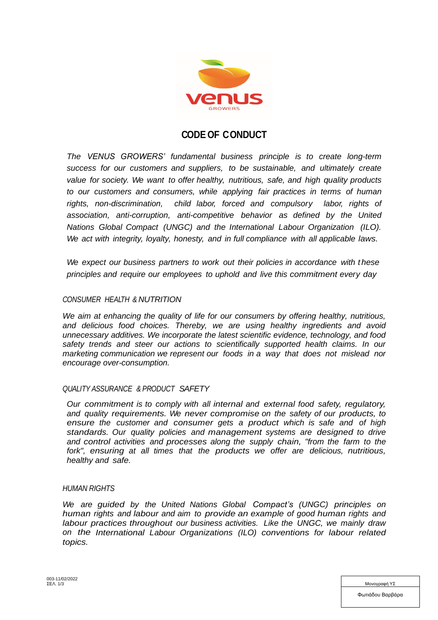

# **CODE OF CONDUCT**

*The VENUS GROWERS' fundamental business principle is to create long-term success for our customers and suppliers, to be sustainable, and ultimately create value for society. We want to offer healthy, nutritious, safe, and high quality products to our customers and consumers, while applying fair practices in terms of human rights, non-discrimination, child labor, forced and compulsory labor, rights of association, anti-corruption, anti-competitive behavior as defined by the United Nations Global Compact (UNGC) and the International Labour Organization (ILO). We act with integrity, loyalty, honesty, and in full compliance with all applicable laws.*

*We expect our business partners to work out their policies in accordance with t hese principles and require our employees to uphold and live this commitment every day*

## *CONSUMER HEALTH & NUTRITION*

*We aim at enhancing the quality of life for our consumers by offering healthy, nutritious, and delicious food choices. Thereby, we are using healthy ingredients and avoid unnecessary additives. We incorporate the latest scientific evidence, technology, and food safety trends and steer our actions to scientifically supported health claims. In our marketing communication we represent our foods in a way that does not mislead nor encourage over-consumption.* 

#### *QUALITY ASSURANCE & PRODUCT SAFETY*

*Our commitment is to comply with all internal and external food safety, regulatory, and quality requirements. We never compromise on the safety of our products, to ensure the customer and consumer gets a product which is safe and of high standards. Our quality policies and management systems are designed to drive and control activities and processes along the supply chain, "from the farm to the fork", ensuring at all times that the products we offer are delicious, nutritious, healthy and safe.*

#### *HUMAN RIGHTS*

*We are guided by the United Nations Global Compact's [\(UNGC\)](http://www.unglobalcompact.org/AboutTheGC/TheTenPrinciples/humanRights.html) principles on human rights and labour and aim to provide an example of good human rights and labour practices throughout our business activities. Like the UNGC, we mainly draw on the International Labour Organizations (ILO) conventions for labour related topics.*

| ΣΕΛ. 1/3 | Μονονραφή ΥΣ     |
|----------|------------------|
|          | Φωτιάδου Βαρβάρα |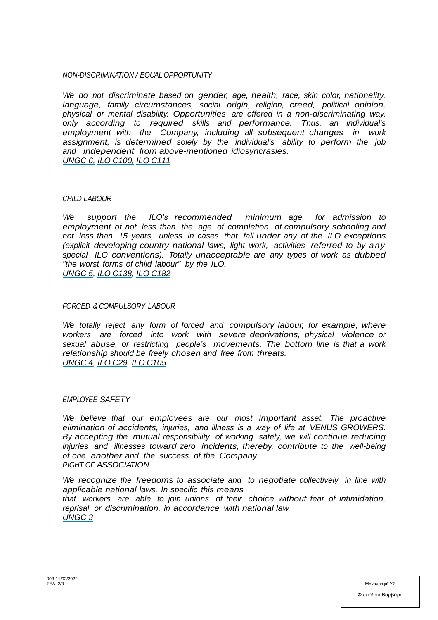## *NON-DISCRIMINATION / EQUAL OPPORTUNITY*

*We do not discriminate based on gender, age, health, race, skin color, nationality, language, family circumstances, social origin, religion, creed, political opinion, physical or mental disability. Opportunities are offered in a non-discriminating way, only according to required skills and performance. Thus, an individual's employment with the Company, including all subsequent changes in work assignment, is determined solely by the individual's ability to perform the job and independent from above-mentioned idiosyncrasies. [UNGC](http://www.unglobalcompact.org/AboutTheGC/TheTenPrinciples/principle6.html) 6, ILO [C100,](http://www.ilo.org/ilolex/cgi-lex/convde.pl?C100) [ILO](http://www.ilo.org/ilolex/cgi-lex/convde.pl?C111) C111*

#### *CHILD LABOUR*

*We support the ILO's recommended minimum age for admission to employment of not less than the age of completion of compulsory schooling and not less than 15 years, unless in cases that fall under any of the ILO exceptions (explicit developing country national laws, light work, activities referred to by any special ILO conventions). Totally unacceptable are any types of work as dubbed "the worst forms of child labour" by the ILO. [UNGC](http://www.unglobalcompact.org/AboutTheGC/TheTenPrinciples/principle5.html) 5, ILO [C138,](http://www.ilo.org/ilolex/cgi-lex/convde.pl?C138) [ILO](http://www.ilo.org/ilolex/cgi-lex/convde.pl?C182) C182*

#### *FORCED & COMPULSORY LABOUR*

*We totally reject any form of forced and compulsory labour, for example, where workers are forced into work with severe deprivations, physical violence or sexual abuse, or restricting people's movements. The bottom line is that a work relationship should be freely chosen and free from threats. [UNGC](http://www.unglobalcompact.org/AboutTheGC/TheTenPrinciples/principle4.html) 4, ILO [C29,](http://www.ilo.org/ilolex/cgi-lex/convde.pl?C029) [ILO](http://www.ilo.org/ilolex/cgi-lex/convde.pl?C105) C105*

## *EMPLOYEE SAFETY*

*We believe that our employees are our most important asset. The proactive elimination of accidents, injuries, and illness is a way of life at VENUS GROWERS. By accepting the mutual responsibility of working safely, we will continue reducing injuries and illnesses toward zero incidents, thereby, contribute to the well-being of one another and the success of the Company. RIGHT OF ASSOCIATION*

*We recognize the freedoms to associate and to negotiate collectively in line with applicable national laws. In specific this means that workers are able to join unions of their choice without fear of intimidation, reprisal or discrimination, in accordance with national law. [UNGC](http://www.unglobalcompact.org/AboutTheGC/TheTenPrinciples/principle3.html) 3*